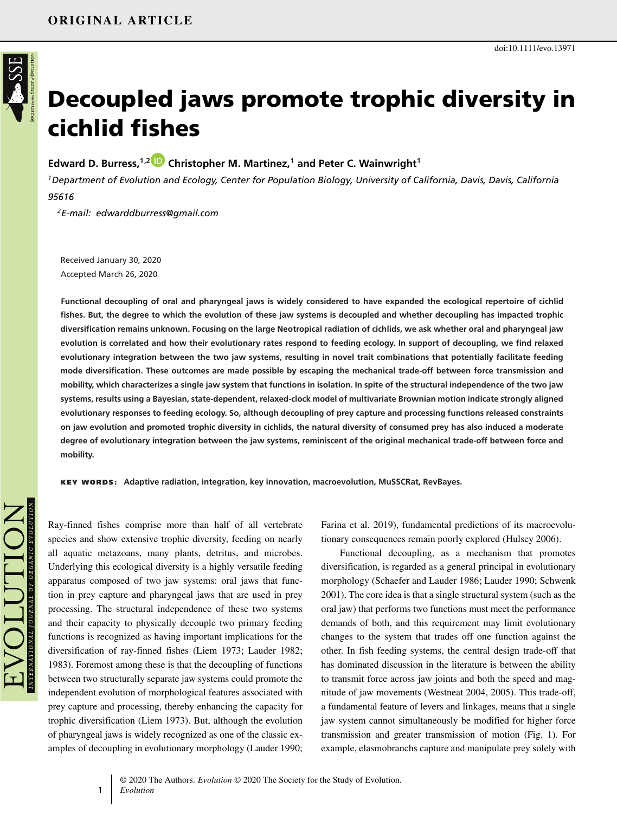

# **Decoupled jaws promote trophic diversity in cichlid fishes**

### **Edward D. Burress,1,[2](https://orcid.org/0000-0002-7498-7229) Christopher M. Martinez,1 and Peter C. Wainwright<sup>1</sup>**

*1Department of Evolution and Ecology, Center for Population Biology, University of California, Davis, Davis, California 95616*

*2E-mail: edwarddburress@gmail.com*

Received January 30, 2020 Accepted March 26, 2020

**Functional decoupling of oral and pharyngeal jaws is widely considered to have expanded the ecological repertoire of cichlid fishes. But, the degree to which the evolution of these jaw systems is decoupled and whether decoupling has impacted trophic diversification remains unknown. Focusing on the large Neotropical radiation of cichlids, we ask whether oral and pharyngeal jaw evolution is correlated and how their evolutionary rates respond to feeding ecology. In support of decoupling, we find relaxed evolutionary integration between the two jaw systems, resulting in novel trait combinations that potentially facilitate feeding mode diversification. These outcomes are made possible by escaping the mechanical trade-off between force transmission and mobility, which characterizes a single jaw system that functions in isolation. In spite of the structural independence of the two jaw systems, results using a Bayesian, state-dependent, relaxed-clock model of multivariate Brownian motion indicate strongly aligned evolutionary responses to feeding ecology. So, although decoupling of prey capture and processing functions released constraints on jaw evolution and promoted trophic diversity in cichlids, the natural diversity of consumed prey has also induced a moderate degree of evolutionary integration between the jaw systems, reminiscent of the original mechanical trade-off between force and mobility.**

**KEY WORDS: Adaptive radiation, integration, key innovation, macroevolution, MuSSCRat, RevBayes.**

Ray-finned fishes comprise more than half of all vertebrate species and show extensive trophic diversity, feeding on nearly all aquatic metazoans, many plants, detritus, and microbes. Underlying this ecological diversity is a highly versatile feeding apparatus composed of two jaw systems: oral jaws that function in prey capture and pharyngeal jaws that are used in prey processing. The structural independence of these two systems and their capacity to physically decouple two primary feeding functions is recognized as having important implications for the diversification of ray-finned fishes (Liem 1973; Lauder 1982; 1983). Foremost among these is that the decoupling of functions between two structurally separate jaw systems could promote the independent evolution of morphological features associated with prey capture and processing, thereby enhancing the capacity for trophic diversification (Liem 1973). But, although the evolution of pharyngeal jaws is widely recognized as one of the classic examples of decoupling in evolutionary morphology (Lauder 1990;

Farina et al. 2019), fundamental predictions of its macroevolutionary consequences remain poorly explored (Hulsey 2006).

Functional decoupling, as a mechanism that promotes diversification, is regarded as a general principal in evolutionary morphology (Schaefer and Lauder 1986; Lauder 1990; Schwenk 2001). The core idea is that a single structural system (such as the oral jaw) that performs two functions must meet the performance demands of both, and this requirement may limit evolutionary changes to the system that trades off one function against the other. In fish feeding systems, the central design trade-off that has dominated discussion in the literature is between the ability to transmit force across jaw joints and both the speed and magnitude of jaw movements (Westneat 2004, 2005). This trade-off, a fundamental feature of levers and linkages, means that a single jaw system cannot simultaneously be modified for higher force transmission and greater transmission of motion (Fig. 1). For example, elasmobranchs capture and manipulate prey solely with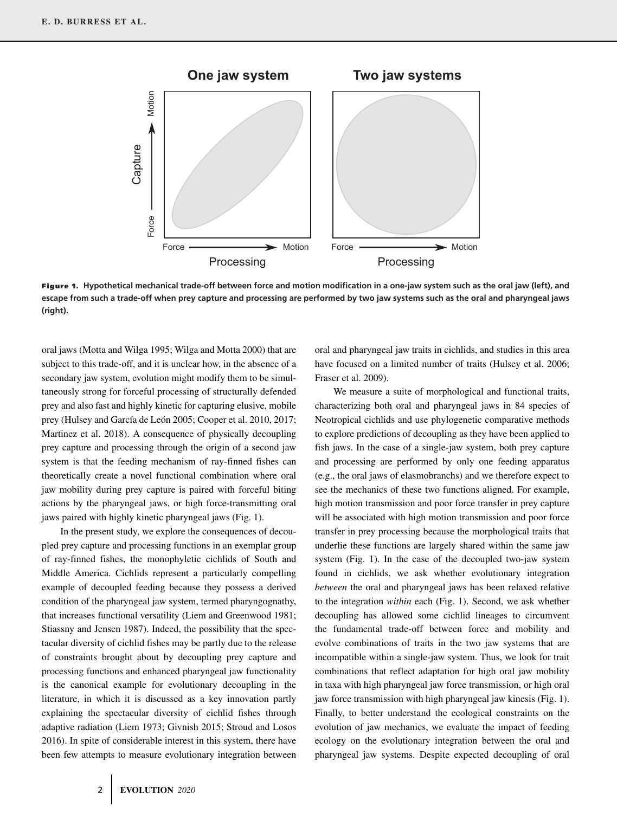

**Figure 1. Hypothetical mechanical trade-off between force and motion modification in a one-jaw system such as the oral jaw (left), and escape from such a trade-off when prey capture and processing are performed by two jaw systems such as the oral and pharyngeal jaws (right).**

oral jaws (Motta and Wilga 1995; Wilga and Motta 2000) that are subject to this trade-off, and it is unclear how, in the absence of a secondary jaw system, evolution might modify them to be simultaneously strong for forceful processing of structurally defended prey and also fast and highly kinetic for capturing elusive, mobile prey (Hulsey and García de León 2005; Cooper et al. 2010, 2017; Martinez et al. 2018). A consequence of physically decoupling prey capture and processing through the origin of a second jaw system is that the feeding mechanism of ray-finned fishes can theoretically create a novel functional combination where oral jaw mobility during prey capture is paired with forceful biting actions by the pharyngeal jaws, or high force-transmitting oral jaws paired with highly kinetic pharyngeal jaws (Fig. 1).

In the present study, we explore the consequences of decoupled prey capture and processing functions in an exemplar group of ray-finned fishes, the monophyletic cichlids of South and Middle America. Cichlids represent a particularly compelling example of decoupled feeding because they possess a derived condition of the pharyngeal jaw system, termed pharyngognathy, that increases functional versatility (Liem and Greenwood 1981; Stiassny and Jensen 1987). Indeed, the possibility that the spectacular diversity of cichlid fishes may be partly due to the release of constraints brought about by decoupling prey capture and processing functions and enhanced pharyngeal jaw functionality is the canonical example for evolutionary decoupling in the literature, in which it is discussed as a key innovation partly explaining the spectacular diversity of cichlid fishes through adaptive radiation (Liem 1973; Givnish 2015; Stroud and Losos 2016). In spite of considerable interest in this system, there have been few attempts to measure evolutionary integration between

oral and pharyngeal jaw traits in cichlids, and studies in this area have focused on a limited number of traits (Hulsey et al. 2006; Fraser et al. 2009).

We measure a suite of morphological and functional traits, characterizing both oral and pharyngeal jaws in 84 species of Neotropical cichlids and use phylogenetic comparative methods to explore predictions of decoupling as they have been applied to fish jaws. In the case of a single-jaw system, both prey capture and processing are performed by only one feeding apparatus (e.g., the oral jaws of elasmobranchs) and we therefore expect to see the mechanics of these two functions aligned. For example, high motion transmission and poor force transfer in prey capture will be associated with high motion transmission and poor force transfer in prey processing because the morphological traits that underlie these functions are largely shared within the same jaw system (Fig. 1). In the case of the decoupled two-jaw system found in cichlids, we ask whether evolutionary integration *between* the oral and pharyngeal jaws has been relaxed relative to the integration *within* each (Fig. 1). Second, we ask whether decoupling has allowed some cichlid lineages to circumvent the fundamental trade-off between force and mobility and evolve combinations of traits in the two jaw systems that are incompatible within a single-jaw system. Thus, we look for trait combinations that reflect adaptation for high oral jaw mobility in taxa with high pharyngeal jaw force transmission, or high oral jaw force transmission with high pharyngeal jaw kinesis (Fig. 1). Finally, to better understand the ecological constraints on the evolution of jaw mechanics, we evaluate the impact of feeding ecology on the evolutionary integration between the oral and pharyngeal jaw systems. Despite expected decoupling of oral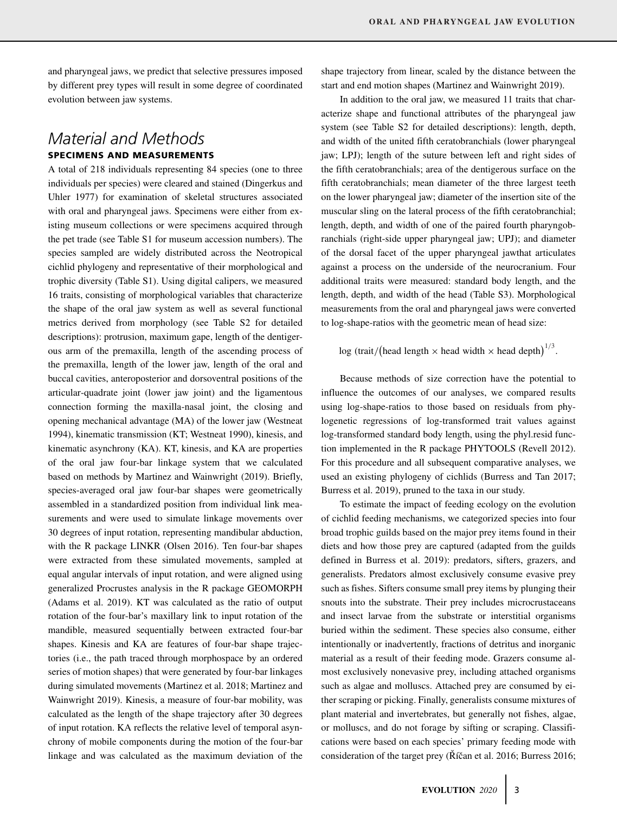and pharyngeal jaws, we predict that selective pressures imposed by different prey types will result in some degree of coordinated evolution between jaw systems.

### *Material and Methods* **SPECIMENS AND MEASUREMENTS**

A total of 218 individuals representing 84 species (one to three individuals per species) were cleared and stained (Dingerkus and Uhler 1977) for examination of skeletal structures associated with oral and pharyngeal jaws. Specimens were either from existing museum collections or were specimens acquired through the pet trade (see Table S1 for museum accession numbers). The species sampled are widely distributed across the Neotropical cichlid phylogeny and representative of their morphological and trophic diversity (Table S1). Using digital calipers, we measured 16 traits, consisting of morphological variables that characterize the shape of the oral jaw system as well as several functional metrics derived from morphology (see Table S2 for detailed descriptions): protrusion, maximum gape, length of the dentigerous arm of the premaxilla, length of the ascending process of the premaxilla, length of the lower jaw, length of the oral and buccal cavities, anteroposterior and dorsoventral positions of the articular-quadrate joint (lower jaw joint) and the ligamentous connection forming the maxilla-nasal joint, the closing and opening mechanical advantage (MA) of the lower jaw (Westneat 1994), kinematic transmission (KT; Westneat 1990), kinesis, and kinematic asynchrony (KA). KT, kinesis, and KA are properties of the oral jaw four-bar linkage system that we calculated based on methods by Martinez and Wainwright (2019). Briefly, species-averaged oral jaw four-bar shapes were geometrically assembled in a standardized position from individual link measurements and were used to simulate linkage movements over 30 degrees of input rotation, representing mandibular abduction, with the R package LINKR (Olsen 2016). Ten four-bar shapes were extracted from these simulated movements, sampled at equal angular intervals of input rotation, and were aligned using generalized Procrustes analysis in the R package GEOMORPH (Adams et al. 2019). KT was calculated as the ratio of output rotation of the four-bar's maxillary link to input rotation of the mandible, measured sequentially between extracted four-bar shapes. Kinesis and KA are features of four-bar shape trajectories (i.e., the path traced through morphospace by an ordered series of motion shapes) that were generated by four-bar linkages during simulated movements (Martinez et al. 2018; Martinez and Wainwright 2019). Kinesis, a measure of four-bar mobility, was calculated as the length of the shape trajectory after 30 degrees of input rotation. KA reflects the relative level of temporal asynchrony of mobile components during the motion of the four-bar linkage and was calculated as the maximum deviation of the

shape trajectory from linear, scaled by the distance between the start and end motion shapes (Martinez and Wainwright 2019).

In addition to the oral jaw, we measured 11 traits that characterize shape and functional attributes of the pharyngeal jaw system (see Table S2 for detailed descriptions): length, depth, and width of the united fifth ceratobranchials (lower pharyngeal jaw; LPJ); length of the suture between left and right sides of the fifth ceratobranchials; area of the dentigerous surface on the fifth ceratobranchials; mean diameter of the three largest teeth on the lower pharyngeal jaw; diameter of the insertion site of the muscular sling on the lateral process of the fifth ceratobranchial; length, depth, and width of one of the paired fourth pharyngobranchials (right-side upper pharyngeal jaw; UPJ); and diameter of the dorsal facet of the upper pharyngeal jawthat articulates against a process on the underside of the neurocranium. Four additional traits were measured: standard body length, and the length, depth, and width of the head (Table S3). Morphological measurements from the oral and pharyngeal jaws were converted to log-shape-ratios with the geometric mean of head size:

### $\log$  (trait/(head length  $\times$  head width  $\times$  head depth)<sup>1/3</sup>.

Because methods of size correction have the potential to influence the outcomes of our analyses, we compared results using log-shape-ratios to those based on residuals from phylogenetic regressions of log-transformed trait values against log-transformed standard body length, using the phyl.resid function implemented in the R package PHYTOOLS (Revell 2012). For this procedure and all subsequent comparative analyses, we used an existing phylogeny of cichlids (Burress and Tan 2017; Burress et al. 2019), pruned to the taxa in our study.

To estimate the impact of feeding ecology on the evolution of cichlid feeding mechanisms, we categorized species into four broad trophic guilds based on the major prey items found in their diets and how those prey are captured (adapted from the guilds defined in Burress et al. 2019): predators, sifters, grazers, and generalists. Predators almost exclusively consume evasive prey such as fishes. Sifters consume small prey items by plunging their snouts into the substrate. Their prey includes microcrustaceans and insect larvae from the substrate or interstitial organisms buried within the sediment. These species also consume, either intentionally or inadvertently, fractions of detritus and inorganic material as a result of their feeding mode. Grazers consume almost exclusively nonevasive prey, including attached organisms such as algae and molluscs. Attached prey are consumed by either scraping or picking. Finally, generalists consume mixtures of plant material and invertebrates, but generally not fishes, algae, or molluscs, and do not forage by sifting or scraping. Classifications were based on each species' primary feeding mode with consideration of the target prey (Říčan et al. 2016; Burress 2016;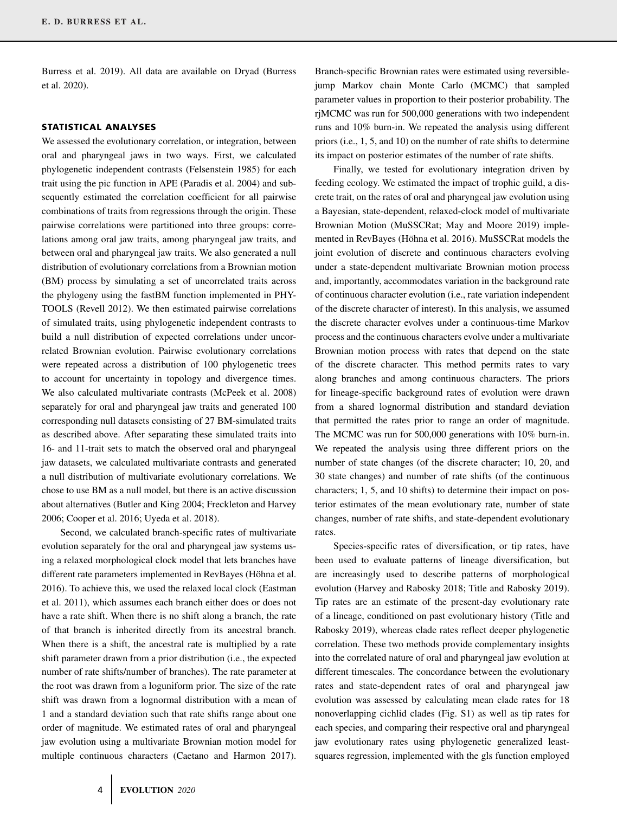Burress et al. 2019). All data are available on Dryad (Burress et al. 2020).

#### **STATISTICAL ANALYSES**

We assessed the evolutionary correlation, or integration, between oral and pharyngeal jaws in two ways. First, we calculated phylogenetic independent contrasts (Felsenstein 1985) for each trait using the pic function in APE (Paradis et al. 2004) and subsequently estimated the correlation coefficient for all pairwise combinations of traits from regressions through the origin. These pairwise correlations were partitioned into three groups: correlations among oral jaw traits, among pharyngeal jaw traits, and between oral and pharyngeal jaw traits. We also generated a null distribution of evolutionary correlations from a Brownian motion (BM) process by simulating a set of uncorrelated traits across the phylogeny using the fastBM function implemented in PHY-TOOLS (Revell 2012). We then estimated pairwise correlations of simulated traits, using phylogenetic independent contrasts to build a null distribution of expected correlations under uncorrelated Brownian evolution. Pairwise evolutionary correlations were repeated across a distribution of 100 phylogenetic trees to account for uncertainty in topology and divergence times. We also calculated multivariate contrasts (McPeek et al. 2008) separately for oral and pharyngeal jaw traits and generated 100 corresponding null datasets consisting of 27 BM-simulated traits as described above. After separating these simulated traits into 16- and 11-trait sets to match the observed oral and pharyngeal jaw datasets, we calculated multivariate contrasts and generated a null distribution of multivariate evolutionary correlations. We chose to use BM as a null model, but there is an active discussion about alternatives (Butler and King 2004; Freckleton and Harvey 2006; Cooper et al. 2016; Uyeda et al. 2018).

Second, we calculated branch-specific rates of multivariate evolution separately for the oral and pharyngeal jaw systems using a relaxed morphological clock model that lets branches have different rate parameters implemented in RevBayes (Höhna et al. 2016). To achieve this, we used the relaxed local clock (Eastman et al. 2011), which assumes each branch either does or does not have a rate shift. When there is no shift along a branch, the rate of that branch is inherited directly from its ancestral branch. When there is a shift, the ancestral rate is multiplied by a rate shift parameter drawn from a prior distribution (i.e., the expected number of rate shifts/number of branches). The rate parameter at the root was drawn from a loguniform prior. The size of the rate shift was drawn from a lognormal distribution with a mean of 1 and a standard deviation such that rate shifts range about one order of magnitude. We estimated rates of oral and pharyngeal jaw evolution using a multivariate Brownian motion model for multiple continuous characters (Caetano and Harmon 2017).

Branch-specific Brownian rates were estimated using reversiblejump Markov chain Monte Carlo (MCMC) that sampled parameter values in proportion to their posterior probability. The rjMCMC was run for 500,000 generations with two independent runs and 10% burn-in. We repeated the analysis using different priors (i.e., 1, 5, and 10) on the number of rate shifts to determine its impact on posterior estimates of the number of rate shifts.

Finally, we tested for evolutionary integration driven by feeding ecology. We estimated the impact of trophic guild, a discrete trait, on the rates of oral and pharyngeal jaw evolution using a Bayesian, state-dependent, relaxed-clock model of multivariate Brownian Motion (MuSSCRat; May and Moore 2019) implemented in RevBayes (Höhna et al. 2016). MuSSCRat models the joint evolution of discrete and continuous characters evolving under a state-dependent multivariate Brownian motion process and, importantly, accommodates variation in the background rate of continuous character evolution (i.e., rate variation independent of the discrete character of interest). In this analysis, we assumed the discrete character evolves under a continuous-time Markov process and the continuous characters evolve under a multivariate Brownian motion process with rates that depend on the state of the discrete character. This method permits rates to vary along branches and among continuous characters. The priors for lineage-specific background rates of evolution were drawn from a shared lognormal distribution and standard deviation that permitted the rates prior to range an order of magnitude. The MCMC was run for 500,000 generations with 10% burn-in. We repeated the analysis using three different priors on the number of state changes (of the discrete character; 10, 20, and 30 state changes) and number of rate shifts (of the continuous characters; 1, 5, and 10 shifts) to determine their impact on posterior estimates of the mean evolutionary rate, number of state changes, number of rate shifts, and state-dependent evolutionary rates.

Species-specific rates of diversification, or tip rates, have been used to evaluate patterns of lineage diversification, but are increasingly used to describe patterns of morphological evolution (Harvey and Rabosky 2018; Title and Rabosky 2019). Tip rates are an estimate of the present-day evolutionary rate of a lineage, conditioned on past evolutionary history (Title and Rabosky 2019), whereas clade rates reflect deeper phylogenetic correlation. These two methods provide complementary insights into the correlated nature of oral and pharyngeal jaw evolution at different timescales. The concordance between the evolutionary rates and state-dependent rates of oral and pharyngeal jaw evolution was assessed by calculating mean clade rates for 18 nonoverlapping cichlid clades (Fig. S1) as well as tip rates for each species, and comparing their respective oral and pharyngeal jaw evolutionary rates using phylogenetic generalized leastsquares regression, implemented with the gls function employed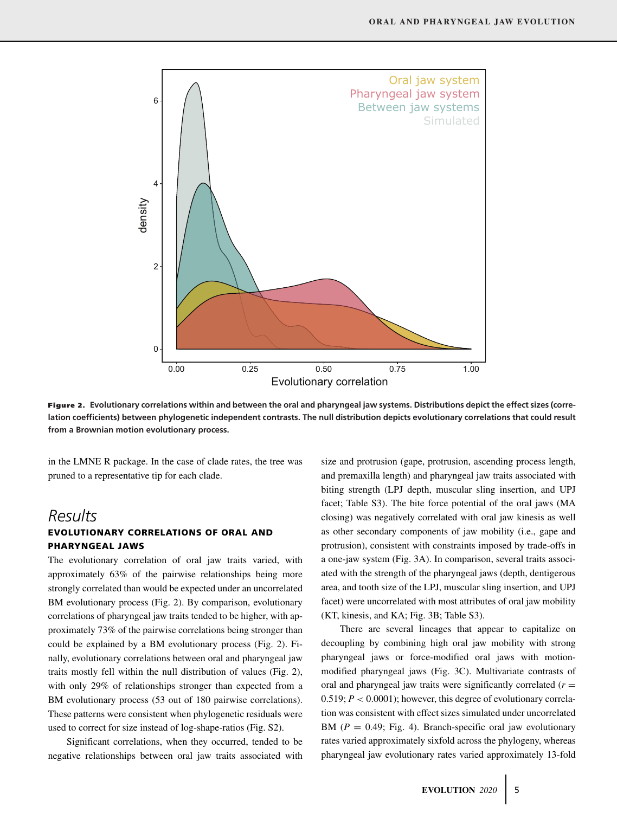

**Figure 2. Evolutionary correlations within and between the oral and pharyngeal jaw systems. Distributions depict the effect sizes (correlation coefficients) between phylogenetic independent contrasts. The null distribution depicts evolutionary correlations that could result from a Brownian motion evolutionary process.**

in the LMNE R package. In the case of clade rates, the tree was pruned to a representative tip for each clade.

### *Results* **EVOLUTIONARY CORRELATIONS OF ORAL AND PHARYNGEAL JAWS**

The evolutionary correlation of oral jaw traits varied, with approximately 63% of the pairwise relationships being more strongly correlated than would be expected under an uncorrelated BM evolutionary process (Fig. 2). By comparison, evolutionary correlations of pharyngeal jaw traits tended to be higher, with approximately 73% of the pairwise correlations being stronger than could be explained by a BM evolutionary process (Fig. 2). Finally, evolutionary correlations between oral and pharyngeal jaw traits mostly fell within the null distribution of values (Fig. 2), with only 29% of relationships stronger than expected from a BM evolutionary process (53 out of 180 pairwise correlations). These patterns were consistent when phylogenetic residuals were used to correct for size instead of log-shape-ratios (Fig. S2).

Significant correlations, when they occurred, tended to be negative relationships between oral jaw traits associated with size and protrusion (gape, protrusion, ascending process length, and premaxilla length) and pharyngeal jaw traits associated with biting strength (LPJ depth, muscular sling insertion, and UPJ facet; Table S3). The bite force potential of the oral jaws (MA closing) was negatively correlated with oral jaw kinesis as well as other secondary components of jaw mobility (i.e., gape and protrusion), consistent with constraints imposed by trade-offs in a one-jaw system (Fig. 3A). In comparison, several traits associated with the strength of the pharyngeal jaws (depth, dentigerous area, and tooth size of the LPJ, muscular sling insertion, and UPJ facet) were uncorrelated with most attributes of oral jaw mobility (KT, kinesis, and KA; Fig. 3B; Table S3).

There are several lineages that appear to capitalize on decoupling by combining high oral jaw mobility with strong pharyngeal jaws or force-modified oral jaws with motionmodified pharyngeal jaws (Fig. 3C). Multivariate contrasts of oral and pharyngeal jaw traits were significantly correlated  $(r =$ 0.519; *P <* 0.0001); however, this degree of evolutionary correlation was consistent with effect sizes simulated under uncorrelated BM  $(P = 0.49;$  Fig. 4). Branch-specific oral jaw evolutionary rates varied approximately sixfold across the phylogeny, whereas pharyngeal jaw evolutionary rates varied approximately 13-fold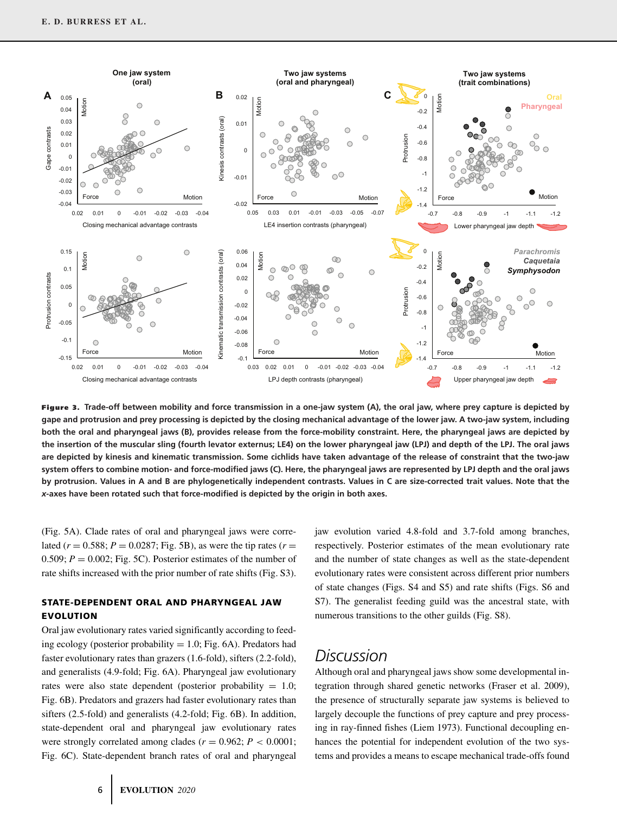

**Figure 3. Trade-off between mobility and force transmission in a one-jaw system (A), the oral jaw, where prey capture is depicted by gape and protrusion and prey processing is depicted by the closing mechanical advantage of the lower jaw. A two-jaw system, including both the oral and pharyngeal jaws (B), provides release from the force-mobility constraint. Here, the pharyngeal jaws are depicted by the insertion of the muscular sling (fourth levator externus; LE4) on the lower pharyngeal jaw (LPJ) and depth of the LPJ. The oral jaws are depicted by kinesis and kinematic transmission. Some cichlids have taken advantage of the release of constraint that the two-jaw system offers to combine motion- and force-modified jaws (C). Here, the pharyngeal jaws are represented by LPJ depth and the oral jaws by protrusion. Values in A and B are phylogenetically independent contrasts. Values in C are size-corrected trait values. Note that the** *x***-axes have been rotated such that force-modified is depicted by the origin in both axes.**

(Fig. 5A). Clade rates of oral and pharyngeal jaws were correlated ( $r = 0.588$ ;  $P = 0.0287$ ; Fig. 5B), as were the tip rates ( $r =$ 0.509;  $P = 0.002$ ; Fig. 5C). Posterior estimates of the number of rate shifts increased with the prior number of rate shifts (Fig. S3).

#### **STATE-DEPENDENT ORAL AND PHARYNGEAL JAW EVOLUTION**

Oral jaw evolutionary rates varied significantly according to feeding ecology (posterior probability  $= 1.0$ ; Fig. 6A). Predators had faster evolutionary rates than grazers (1.6-fold), sifters (2.2-fold), and generalists (4.9-fold; Fig. 6A). Pharyngeal jaw evolutionary rates were also state dependent (posterior probability  $= 1.0$ ; Fig. 6B). Predators and grazers had faster evolutionary rates than sifters (2.5-fold) and generalists (4.2-fold; Fig. 6B). In addition, state-dependent oral and pharyngeal jaw evolutionary rates were strongly correlated among clades ( $r = 0.962$ ;  $P < 0.0001$ ; Fig. 6C). State-dependent branch rates of oral and pharyngeal

jaw evolution varied 4.8-fold and 3.7-fold among branches, respectively. Posterior estimates of the mean evolutionary rate and the number of state changes as well as the state-dependent evolutionary rates were consistent across different prior numbers of state changes (Figs. S4 and S5) and rate shifts (Figs. S6 and S7). The generalist feeding guild was the ancestral state, with numerous transitions to the other guilds (Fig. S8).

## *Discussion*

Although oral and pharyngeal jaws show some developmental integration through shared genetic networks (Fraser et al. 2009), the presence of structurally separate jaw systems is believed to largely decouple the functions of prey capture and prey processing in ray-finned fishes (Liem 1973). Functional decoupling enhances the potential for independent evolution of the two systems and provides a means to escape mechanical trade-offs found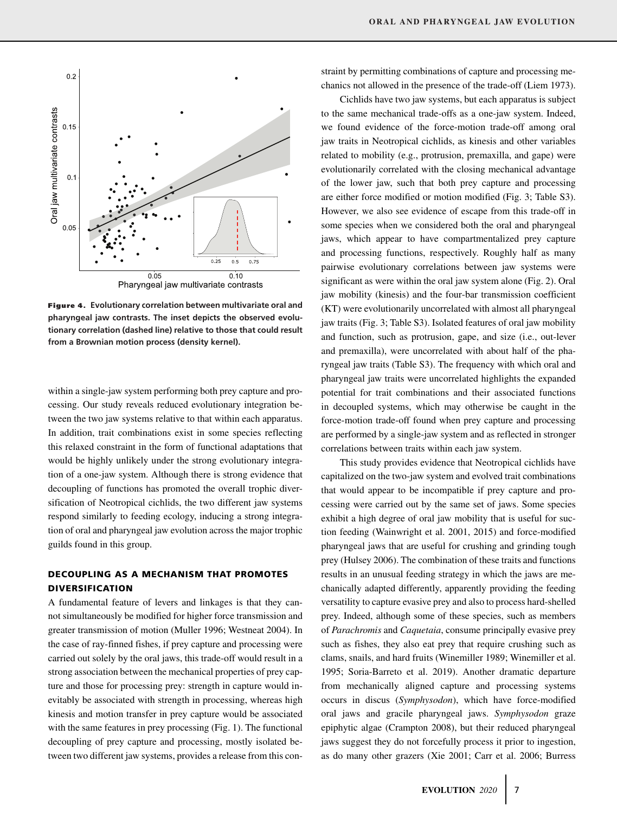

**Figure 4. Evolutionary correlation between multivariate oral and pharyngeal jaw contrasts. The inset depicts the observed evolutionary correlation (dashed line) relative to those that could result from a Brownian motion process (density kernel).**

within a single-jaw system performing both prey capture and processing. Our study reveals reduced evolutionary integration between the two jaw systems relative to that within each apparatus. In addition, trait combinations exist in some species reflecting this relaxed constraint in the form of functional adaptations that would be highly unlikely under the strong evolutionary integration of a one-jaw system. Although there is strong evidence that decoupling of functions has promoted the overall trophic diversification of Neotropical cichlids, the two different jaw systems respond similarly to feeding ecology, inducing a strong integration of oral and pharyngeal jaw evolution across the major trophic guilds found in this group.

#### **DECOUPLING AS A MECHANISM THAT PROMOTES DIVERSIFICATION**

A fundamental feature of levers and linkages is that they cannot simultaneously be modified for higher force transmission and greater transmission of motion (Muller 1996; Westneat 2004). In the case of ray-finned fishes, if prey capture and processing were carried out solely by the oral jaws, this trade-off would result in a strong association between the mechanical properties of prey capture and those for processing prey: strength in capture would inevitably be associated with strength in processing, whereas high kinesis and motion transfer in prey capture would be associated with the same features in prey processing (Fig. 1). The functional decoupling of prey capture and processing, mostly isolated between two different jaw systems, provides a release from this constraint by permitting combinations of capture and processing mechanics not allowed in the presence of the trade-off (Liem 1973).

Cichlids have two jaw systems, but each apparatus is subject to the same mechanical trade-offs as a one-jaw system. Indeed, we found evidence of the force-motion trade-off among oral jaw traits in Neotropical cichlids, as kinesis and other variables related to mobility (e.g., protrusion, premaxilla, and gape) were evolutionarily correlated with the closing mechanical advantage of the lower jaw, such that both prey capture and processing are either force modified or motion modified (Fig. 3; Table S3). However, we also see evidence of escape from this trade-off in some species when we considered both the oral and pharyngeal jaws, which appear to have compartmentalized prey capture and processing functions, respectively. Roughly half as many pairwise evolutionary correlations between jaw systems were significant as were within the oral jaw system alone (Fig. 2). Oral jaw mobility (kinesis) and the four-bar transmission coefficient (KT) were evolutionarily uncorrelated with almost all pharyngeal jaw traits (Fig. 3; Table S3). Isolated features of oral jaw mobility and function, such as protrusion, gape, and size (i.e., out-lever and premaxilla), were uncorrelated with about half of the pharyngeal jaw traits (Table S3). The frequency with which oral and pharyngeal jaw traits were uncorrelated highlights the expanded potential for trait combinations and their associated functions in decoupled systems, which may otherwise be caught in the force-motion trade-off found when prey capture and processing are performed by a single-jaw system and as reflected in stronger correlations between traits within each jaw system.

This study provides evidence that Neotropical cichlids have capitalized on the two-jaw system and evolved trait combinations that would appear to be incompatible if prey capture and processing were carried out by the same set of jaws. Some species exhibit a high degree of oral jaw mobility that is useful for suction feeding (Wainwright et al. 2001, 2015) and force-modified pharyngeal jaws that are useful for crushing and grinding tough prey (Hulsey 2006). The combination of these traits and functions results in an unusual feeding strategy in which the jaws are mechanically adapted differently, apparently providing the feeding versatility to capture evasive prey and also to process hard-shelled prey. Indeed, although some of these species, such as members of *Parachromis* and *Caquetaia*, consume principally evasive prey such as fishes, they also eat prey that require crushing such as clams, snails, and hard fruits (Winemiller 1989; Winemiller et al. 1995; Soria-Barreto et al. 2019). Another dramatic departure from mechanically aligned capture and processing systems occurs in discus (*Symphysodon*), which have force-modified oral jaws and gracile pharyngeal jaws. *Symphysodon* graze epiphytic algae (Crampton 2008), but their reduced pharyngeal jaws suggest they do not forcefully process it prior to ingestion, as do many other grazers (Xie 2001; Carr et al. 2006; Burress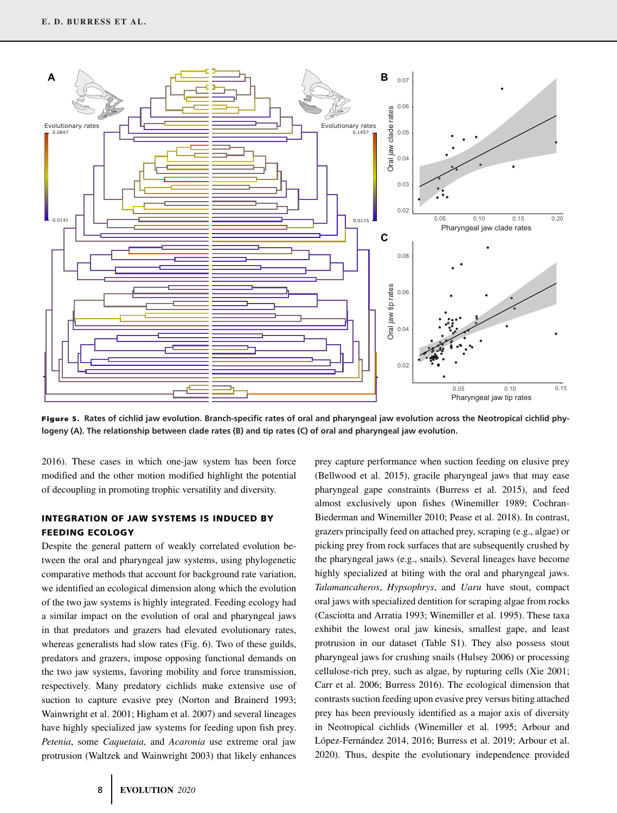

**Figure 5. Rates of cichlid jaw evolution. Branch-specific rates of oral and pharyngeal jaw evolution across the Neotropical cichlid phylogeny (A). The relationship between clade rates (B) and tip rates (C) of oral and pharyngeal jaw evolution.**

2016). These cases in which one-jaw system has been force modified and the other motion modified highlight the potential of decoupling in promoting trophic versatility and diversity.

#### **INTEGRATION OF JAW SYSTEMS IS INDUCED BY FEEDING ECOLOGY**

Despite the general pattern of weakly correlated evolution between the oral and pharyngeal jaw systems, using phylogenetic comparative methods that account for background rate variation, we identified an ecological dimension along which the evolution of the two jaw systems is highly integrated. Feeding ecology had a similar impact on the evolution of oral and pharyngeal jaws in that predators and grazers had elevated evolutionary rates, whereas generalists had slow rates (Fig. 6). Two of these guilds, predators and grazers, impose opposing functional demands on the two jaw systems, favoring mobility and force transmission, respectively. Many predatory cichlids make extensive use of suction to capture evasive prey (Norton and Brainerd 1993; Wainwright et al. 2001; Higham et al. 2007) and several lineages have highly specialized jaw systems for feeding upon fish prey. *Petenia*, some *Caquetaia*, and *Acaronia* use extreme oral jaw protrusion (Waltzek and Wainwright 2003) that likely enhances

(Bellwood et al. 2015), gracile pharyngeal jaws that may ease pharyngeal gape constraints (Burress et al. 2015), and feed almost exclusively upon fishes (Winemiller 1989; Cochran-Biederman and Winemiller 2010; Pease et al. 2018). In contrast, grazers principally feed on attached prey, scraping (e.g., algae) or picking prey from rock surfaces that are subsequently crushed by the pharyngeal jaws (e.g., snails). Several lineages have become highly specialized at biting with the oral and pharyngeal jaws. *Talamancaheros*, *Hypsophrys*, and *Uaru* have stout, compact oral jaws with specialized dentition for scraping algae from rocks (Casciotta and Arratia 1993; Winemiller et al. 1995). These taxa exhibit the lowest oral jaw kinesis, smallest gape, and least protrusion in our dataset (Table S1). They also possess stout pharyngeal jaws for crushing snails (Hulsey 2006) or processing cellulose-rich prey, such as algae, by rupturing cells (Xie 2001; Carr et al. 2006; Burress 2016). The ecological dimension that contrasts suction feeding upon evasive prey versus biting attached prey has been previously identified as a major axis of diversity in Neotropical cichlids (Winemiller et al. 1995; Arbour and López-Fernández 2014, 2016; Burress et al. 2019; Arbour et al. 2020). Thus, despite the evolutionary independence provided

prey capture performance when suction feeding on elusive prey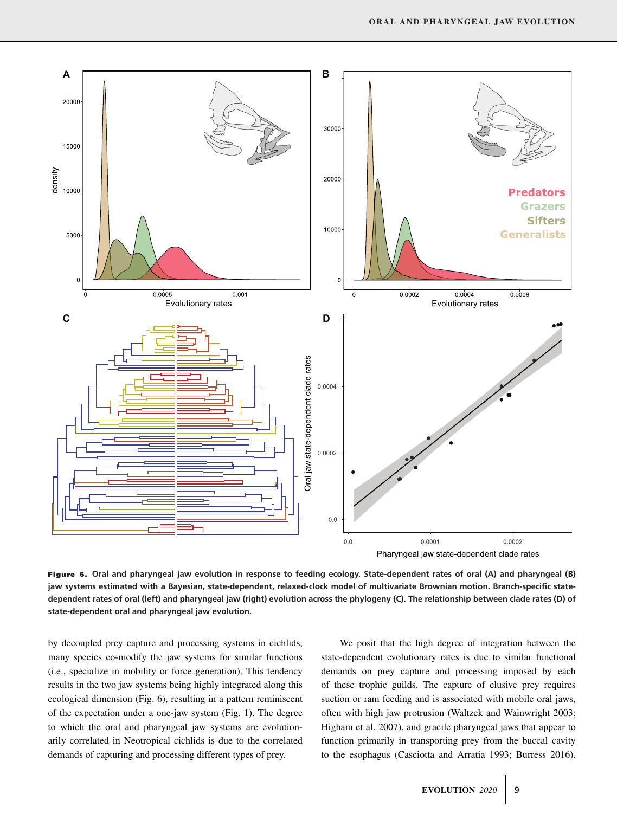

Pharyngeal jaw state-dependent clade rates

**Figure 6. Oral and pharyngeal jaw evolution in response to feeding ecology. State-dependent rates of oral (A) and pharyngeal (B) jaw systems estimated with a Bayesian, state-dependent, relaxed-clock model of multivariate Brownian motion. Branch-specific statedependent rates of oral (left) and pharyngeal jaw (right) evolution across the phylogeny (C). The relationship between clade rates (D) of state-dependent oral and pharyngeal jaw evolution.**

by decoupled prey capture and processing systems in cichlids, many species co-modify the jaw systems for similar functions (i.e., specialize in mobility or force generation). This tendency results in the two jaw systems being highly integrated along this ecological dimension (Fig. 6), resulting in a pattern reminiscent of the expectation under a one-jaw system (Fig. 1). The degree to which the oral and pharyngeal jaw systems are evolutionarily correlated in Neotropical cichlids is due to the correlated demands of capturing and processing different types of prey.

We posit that the high degree of integration between the state-dependent evolutionary rates is due to similar functional demands on prey capture and processing imposed by each of these trophic guilds. The capture of elusive prey requires suction or ram feeding and is associated with mobile oral jaws, often with high jaw protrusion (Waltzek and Wainwright 2003; Higham et al. 2007), and gracile pharyngeal jaws that appear to function primarily in transporting prey from the buccal cavity to the esophagus (Casciotta and Arratia 1993; Burress 2016).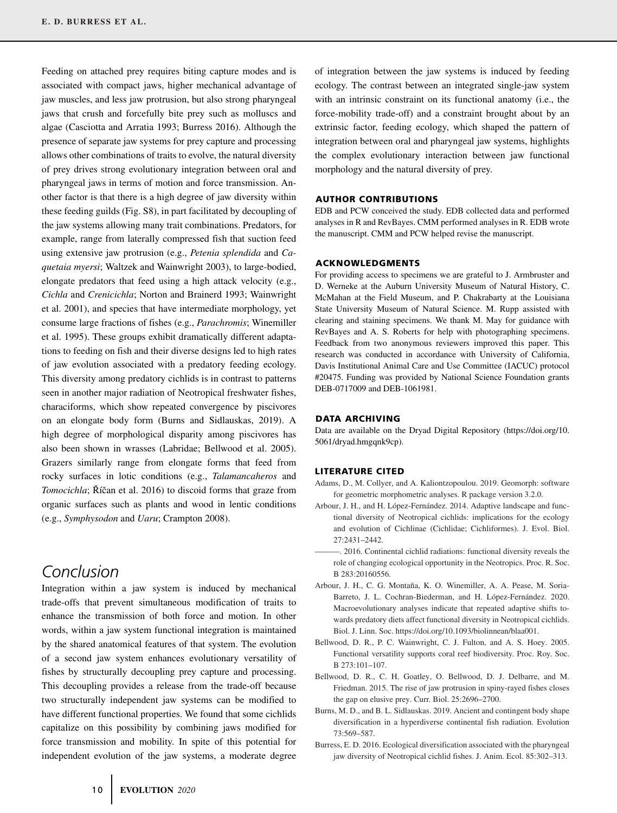Feeding on attached prey requires biting capture modes and is associated with compact jaws, higher mechanical advantage of jaw muscles, and less jaw protrusion, but also strong pharyngeal jaws that crush and forcefully bite prey such as molluscs and algae (Casciotta and Arratia 1993; Burress 2016). Although the presence of separate jaw systems for prey capture and processing allows other combinations of traits to evolve, the natural diversity of prey drives strong evolutionary integration between oral and pharyngeal jaws in terms of motion and force transmission. Another factor is that there is a high degree of jaw diversity within these feeding guilds (Fig. S8), in part facilitated by decoupling of the jaw systems allowing many trait combinations. Predators, for example, range from laterally compressed fish that suction feed using extensive jaw protrusion (e.g., *Petenia splendida* and *Caquetaia myersi*; Waltzek and Wainwright 2003), to large-bodied, elongate predators that feed using a high attack velocity (e.g., *Cichla* and *Crenicichla*; Norton and Brainerd 1993; Wainwright et al. 2001), and species that have intermediate morphology, yet consume large fractions of fishes (e.g., *Parachromis*; Winemiller et al. 1995). These groups exhibit dramatically different adaptations to feeding on fish and their diverse designs led to high rates of jaw evolution associated with a predatory feeding ecology. This diversity among predatory cichlids is in contrast to patterns seen in another major radiation of Neotropical freshwater fishes, characiforms, which show repeated convergence by piscivores on an elongate body form (Burns and Sidlauskas, 2019). A high degree of morphological disparity among piscivores has also been shown in wrasses (Labridae; Bellwood et al. 2005). Grazers similarly range from elongate forms that feed from rocky surfaces in lotic conditions (e.g., *Talamancaheros* and *Tomocichla*; Říčan et al. 2016) to discoid forms that graze from organic surfaces such as plants and wood in lentic conditions (e.g., *Symphysodon* and *Uaru*; Crampton 2008).

# *Conclusion*

Integration within a jaw system is induced by mechanical trade-offs that prevent simultaneous modification of traits to enhance the transmission of both force and motion. In other words, within a jaw system functional integration is maintained by the shared anatomical features of that system. The evolution of a second jaw system enhances evolutionary versatility of fishes by structurally decoupling prey capture and processing. This decoupling provides a release from the trade-off because two structurally independent jaw systems can be modified to have different functional properties. We found that some cichlids capitalize on this possibility by combining jaws modified for force transmission and mobility. In spite of this potential for independent evolution of the jaw systems, a moderate degree

of integration between the jaw systems is induced by feeding ecology. The contrast between an integrated single-jaw system with an intrinsic constraint on its functional anatomy (i.e., the force-mobility trade-off) and a constraint brought about by an extrinsic factor, feeding ecology, which shaped the pattern of integration between oral and pharyngeal jaw systems, highlights the complex evolutionary interaction between jaw functional morphology and the natural diversity of prey.

#### **AUTHOR CONTRIBUTIONS**

EDB and PCW conceived the study. EDB collected data and performed analyses in R and RevBayes. CMM performed analyses in R. EDB wrote the manuscript. CMM and PCW helped revise the manuscript.

#### **ACKNOWLEDGMENTS**

For providing access to specimens we are grateful to J. Armbruster and D. Werneke at the Auburn University Museum of Natural History, C. McMahan at the Field Museum, and P. Chakrabarty at the Louisiana State University Museum of Natural Science. M. Rupp assisted with clearing and staining specimens. We thank M. May for guidance with RevBayes and A. S. Roberts for help with photographing specimens. Feedback from two anonymous reviewers improved this paper. This research was conducted in accordance with University of California, Davis Institutional Animal Care and Use Committee (IACUC) protocol #20475. Funding was provided by National Science Foundation grants DEB-0717009 and DEB-1061981.

#### **DATA ARCHIVING**

Data are available on the Dryad Digital Repository [\(https://doi.org/10.](https://doi.org/10.5061/dryad.hmgqnk9cp) [5061/dryad.hmgqnk9cp\)](https://doi.org/10.5061/dryad.hmgqnk9cp).

#### **LITERATURE CITED**

- Adams, D., M. Collyer, and A. Kaliontzopoulou. 2019. Geomorph: software for geometric morphometric analyses. R package version 3.2.0.
- Arbour, J. H., and H. López-Fernández. 2014. Adaptive landscape and functional diversity of Neotropical cichlids: implications for the ecology and evolution of Cichlinae (Cichlidae; Cichliformes). J. Evol. Biol. 27:2431–2442.
- ———. 2016. Continental cichlid radiations: functional diversity reveals the role of changing ecological opportunity in the Neotropics. Proc. R. Soc. B 283:20160556.
- Arbour, J. H., C. G. Montaña, K. O. Winemiller, A. A. Pease, M. Soria-Barreto, J. L. Cochran-Biederman, and H. López-Fernández. 2020. Macroevolutionary analyses indicate that repeated adaptive shifts towards predatory diets affect functional diversity in Neotropical cichlids. Biol. J. Linn. Soc. [https://doi.org/10.1093/biolinnean/blaa001.](https://doi.org/10.1093/biolinnean/blaa001)
- Bellwood, D. R., P. C. Wainwright, C. J. Fulton, and A. S. Hoey. 2005. Functional versatility supports coral reef biodiversity. Proc. Roy. Soc. B 273:101–107.
- Bellwood, D. R., C. H. Goatley, O. Bellwood, D. J. Delbarre, and M. Friedman. 2015. The rise of jaw protrusion in spiny-rayed fishes closes the gap on elusive prey. Curr. Biol. 25:2696–2700.
- Burns, M. D., and B. L. Sidlauskas. 2019. Ancient and contingent body shape diversification in a hyperdiverse continental fish radiation. Evolution 73:569–587.
- Burress, E. D. 2016. Ecological diversification associated with the pharyngeal jaw diversity of Neotropical cichlid fishes. J. Anim. Ecol. 85:302–313.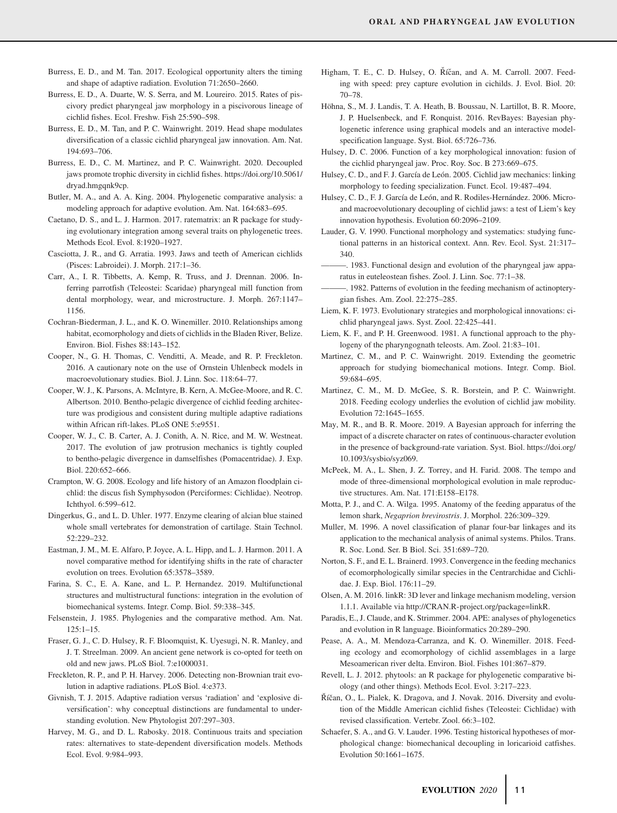- Burress, E. D., and M. Tan. 2017. Ecological opportunity alters the timing and shape of adaptive radiation. Evolution 71:2650–2660.
- Burress, E. D., A. Duarte, W. S. Serra, and M. Loureiro. 2015. Rates of piscivory predict pharyngeal jaw morphology in a piscivorous lineage of cichlid fishes. Ecol. Freshw. Fish 25:590–598.
- Burress, E. D., M. Tan, and P. C. Wainwright. 2019. Head shape modulates diversification of a classic cichlid pharyngeal jaw innovation. Am. Nat. 194:693–706.
- Burress, E. D., C. M. Martinez, and P. C. Wainwright. 2020. Decoupled jaws promote trophic diversity in cichlid fishes. [https://doi.org/10.5061/](https://doi.org/10.5061/dryad.hmgqnk9cp) [dryad.hmgqnk9cp.](https://doi.org/10.5061/dryad.hmgqnk9cp)
- Butler, M. A., and A. A. King. 2004. Phylogenetic comparative analysis: a modeling approach for adaptive evolution. Am. Nat. 164:683–695.
- Caetano, D. S., and L. J. Harmon. 2017. ratematrix: an R package for studying evolutionary integration among several traits on phylogenetic trees. Methods Ecol. Evol. 8:1920–1927.
- Casciotta, J. R., and G. Arratia. 1993. Jaws and teeth of American cichlids (Pisces: Labroidei). J. Morph. 217:1–36.
- Carr, A., I. R. Tibbetts, A. Kemp, R. Truss, and J. Drennan. 2006. Inferring parrotfish (Teleostei: Scaridae) pharyngeal mill function from dental morphology, wear, and microstructure. J. Morph. 267:1147– 1156.
- Cochran-Biederman, J. L., and K. O. Winemiller. 2010. Relationships among habitat, ecomorphology and diets of cichlids in the Bladen River, Belize. Environ. Biol. Fishes 88:143–152.
- Cooper, N., G. H. Thomas, C. Venditti, A. Meade, and R. P. Freckleton. 2016. A cautionary note on the use of Ornstein Uhlenbeck models in macroevolutionary studies. Biol. J. Linn. Soc. 118:64–77.
- Cooper, W. J., K. Parsons, A. McIntyre, B. Kern, A. McGee-Moore, and R. C. Albertson. 2010. Bentho-pelagic divergence of cichlid feeding architecture was prodigious and consistent during multiple adaptive radiations within African rift-lakes. PLoS ONE 5:e9551.
- Cooper, W. J., C. B. Carter, A. J. Conith, A. N. Rice, and M. W. Westneat. 2017. The evolution of jaw protrusion mechanics is tightly coupled to bentho-pelagic divergence in damselfishes (Pomacentridae). J. Exp. Biol. 220:652–666.
- Crampton, W. G. 2008. Ecology and life history of an Amazon floodplain cichlid: the discus fish Symphysodon (Perciformes: Cichlidae). Neotrop. Ichthyol. 6:599–612.
- Dingerkus, G., and L. D. Uhler. 1977. Enzyme clearing of alcian blue stained whole small vertebrates for demonstration of cartilage. Stain Technol. 52:229–232.
- Eastman, J. M., M. E. Alfaro, P. Joyce, A. L. Hipp, and L. J. Harmon. 2011. A novel comparative method for identifying shifts in the rate of character evolution on trees. Evolution 65:3578–3589.
- Farina, S. C., E. A. Kane, and L. P. Hernandez. 2019. Multifunctional structures and multistructural functions: integration in the evolution of biomechanical systems. Integr. Comp. Biol. 59:338–345.
- Felsenstein, J. 1985. Phylogenies and the comparative method. Am. Nat.  $125:1-15$ .
- Fraser, G. J., C. D. Hulsey, R. F. Bloomquist, K. Uyesugi, N. R. Manley, and J. T. Streelman. 2009. An ancient gene network is co-opted for teeth on old and new jaws. PLoS Biol. 7:e1000031.
- Freckleton, R. P., and P. H. Harvey. 2006. Detecting non-Brownian trait evolution in adaptive radiations. PLoS Biol. 4:e373.
- Givnish, T. J. 2015. Adaptive radiation versus 'radiation' and 'explosive diversification': why conceptual distinctions are fundamental to understanding evolution. New Phytologist 207:297–303.
- Harvey, M. G., and D. L. Rabosky. 2018. Continuous traits and speciation rates: alternatives to state-dependent diversification models. Methods Ecol. Evol. 9:984–993.
- Higham, T. E., C. D. Hulsey, O. Říčan, and A. M. Carroll. 2007. Feeding with speed: prey capture evolution in cichilds. J. Evol. Biol. 20: 70–78.
- Höhna, S., M. J. Landis, T. A. Heath, B. Boussau, N. Lartillot, B. R. Moore, J. P. Huelsenbeck, and F. Ronquist. 2016. RevBayes: Bayesian phylogenetic inference using graphical models and an interactive modelspecification language. Syst. Biol. 65:726–736.
- Hulsey, D. C. 2006. Function of a key morphological innovation: fusion of the cichlid pharyngeal jaw. Proc. Roy. Soc. B 273:669–675.
- Hulsey, C. D., and F. J. García de León. 2005. Cichlid jaw mechanics: linking morphology to feeding specialization. Funct. Ecol. 19:487–494.
- Hulsey, C. D., F. J. García de León, and R. Rodiles-Hernández. 2006. Microand macroevolutionary decoupling of cichlid jaws: a test of Liem's key innovation hypothesis. Evolution 60:2096–2109.
- Lauder, G. V. 1990. Functional morphology and systematics: studying functional patterns in an historical context. Ann. Rev. Ecol. Syst. 21:317– 340.
	- ———. 1983. Functional design and evolution of the pharyngeal jaw apparatus in euteleostean fishes. Zool. J. Linn. Soc. 77:1–38.
- ———. 1982. Patterns of evolution in the feeding mechanism of actinopterygian fishes. Am. Zool. 22:275–285.
- Liem, K. F. 1973. Evolutionary strategies and morphological innovations: cichlid pharyngeal jaws. Syst. Zool. 22:425–441.
- Liem, K. F., and P. H. Greenwood. 1981. A functional approach to the phylogeny of the pharyngognath teleosts. Am. Zool. 21:83–101.
- Martinez, C. M., and P. C. Wainwright. 2019. Extending the geometric approach for studying biomechanical motions. Integr. Comp. Biol. 59:684–695.
- Martinez, C. M., M. D. McGee, S. R. Borstein, and P. C. Wainwright. 2018. Feeding ecology underlies the evolution of cichlid jaw mobility. Evolution 72:1645–1655.
- May, M. R., and B. R. Moore. 2019. A Bayesian approach for inferring the impact of a discrete character on rates of continuous-character evolution in the presence of background-rate variation. Syst. Biol. [https://doi.org/](https://doi.org/10.1093/sysbio/syz069) [10.1093/sysbio/syz069.](https://doi.org/10.1093/sysbio/syz069)
- McPeek, M. A., L. Shen, J. Z. Torrey, and H. Farid. 2008. The tempo and mode of three-dimensional morphological evolution in male reproductive structures. Am. Nat. 171:E158–E178.
- Motta, P. J., and C. A. Wilga. 1995. Anatomy of the feeding apparatus of the lemon shark, *Negaprion brevirostris*. J. Morphol. 226:309–329.
- Muller, M. 1996. A novel classification of planar four-bar linkages and its application to the mechanical analysis of animal systems. Philos. Trans. R. Soc. Lond. Ser. B Biol. Sci. 351:689–720.
- Norton, S. F., and E. L. Brainerd. 1993. Convergence in the feeding mechanics of ecomorphologically similar species in the Centrarchidae and Cichlidae. J. Exp. Biol. 176:11–29.
- Olsen, A. M. 2016. linkR: 3D lever and linkage mechanism modeling, version 1.1.1. Available via [http://CRAN.R-project.org/package=linkR.](http://CRAN.R-project.org/package=linkR)
- Paradis, E., J. Claude, and K. Strimmer. 2004. APE: analyses of phylogenetics and evolution in R language. Bioinformatics 20:289–290.
- Pease, A. A., M. Mendoza-Carranza, and K. O. Winemiller. 2018. Feeding ecology and ecomorphology of cichlid assemblages in a large Mesoamerican river delta. Environ. Biol. Fishes 101:867–879.
- Revell, L. J. 2012. phytools: an R package for phylogenetic comparative biology (and other things). Methods Ecol. Evol. 3:217–223.
- Říčan, O., L. Pialek, K. Dragova, and J. Novak. 2016. Diversity and evolution of the Middle American cichlid fishes (Teleostei: Cichlidae) with revised classification. Vertebr. Zool. 66:3–102.
- Schaefer, S. A., and G. V. Lauder. 1996. Testing historical hypotheses of morphological change: biomechanical decoupling in loricarioid catfishes. Evolution 50:1661–1675.